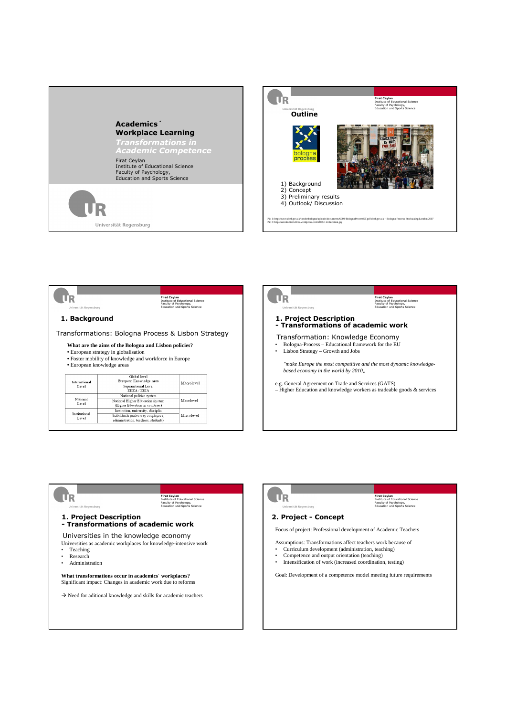







 $\mathsf{\Pi R}$